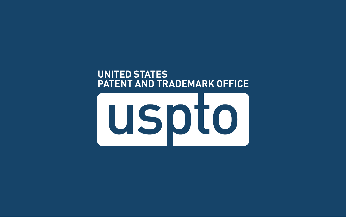#### **UNITED STATES PATENT AND TRADEMARK OFFICE**

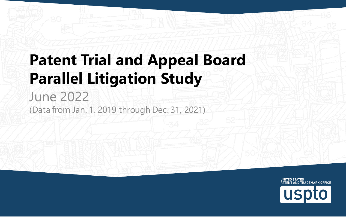#### **Patent Trial and Appeal Board Parallel Litigation Study**  June 2022

(Data from Jan. 1, 2019 through Dec. 31, 2021)

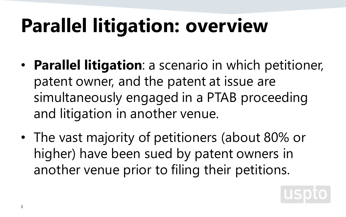## **Parallel litigation: overview**

- **Parallel litigation**: a scenario in which petitioner, patent owner, and the patent at issue are simultaneously engaged in a PTAB proceeding and litigation in another venue.
- The vast majority of petitioners (about 80% or higher) have been sued by patent owners in another venue prior to filing their petitions.

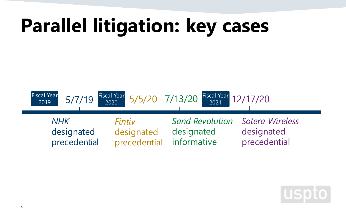

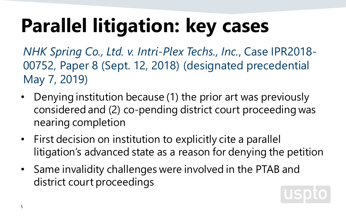*NHK Spring Co., Ltd. v. Intri-Plex Techs., Inc.*, Case IPR2018- 00752, Paper 8 (Sept. 12, 2018) (designated precedential May 7, 2019)

- Denying institution because (1) the prior art was previously considered and (2) co-pending district court proceeding was nearing completion
- First decision on institution to explicitly cite a parallel litigation's advanced state as a reason for denying the petition
- Same invalidity challenges were involved in the PTAB and district court proceedings

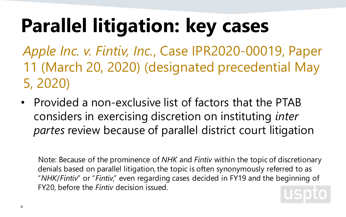*Apple Inc. v. Fintiv, Inc.*, Case IPR2020-00019, Paper 11 (March 20, 2020) (designated precedential May 5, 2020)

• Provided a non-exclusive list of factors that the PTAB considers in exercising discretion on instituting *inter partes* review because of parallel district court litigation

Note: Because of the prominence of *NHK* and *Fintiv* within the topic of discretionary denials based on parallel litigation, the topic is often synonymously referred to as "*NHK*/*Fintiv*" or "*Fintiv*," even regarding cases decided in FY19 and the beginning of FY20, before the *Fintiv* decision issued.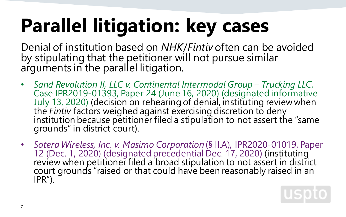Denial of institution based on *NHK*/*Fintiv* often can be avoided by stipulating that the petitioner will not pursue similar arguments in the parallel litigation.

- *Sand Revolution II, LLC v. Continental Intermodal Group – Trucking LLC*, July 13, 2020) (decision on rehearing of denial, instituting review when<br>the *Fintiv* factors weighed against exercising discretion to deny<br>institution because petitioner filed a stipulation to not assert the "same grounds" in district court).
- Sotera Wireless, Inc. v. Masimo Corporation (§ II.A), IPR2020-01019, Paper<br>12 (Dec. 1, 2020) (designated precedential Dec. 17, 2020) (instituting<br>review when petitioner filed a broad stipulation to not assert in district court grounds "raised or that could have been reasonably raised in an IPR").

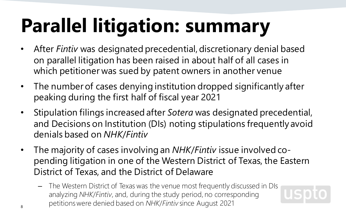# **Parallel litigation: summary**

- After *Fintiv* was designated precedential, discretionary denial based on parallel litigation has been raised in about half of all cases in which petitioner was sued by patent owners in another venue
- The number of cases denying institution dropped significantly after peaking during the first half of fiscal year 2021
- Stipulation filings increased after *Sotera* was designated precedential, and Decisions on Institution (DIs) noting stipulations frequently avoid denials based on *NHK*/*Fintiv*
- The majority of cases involving an *NHK*/*Fintiv* issue involved copending litigation in one of the Western District of Texas, the Eastern District of Texas, and the District of Delaware

USD

– The Western District of Texas was the venue most frequently discussed in DIs analyzing *NHK*/*Fintiv*, and, during the study period, no corresponding petitions were denied based on *NHK*/*Fintiv* since August 2021 8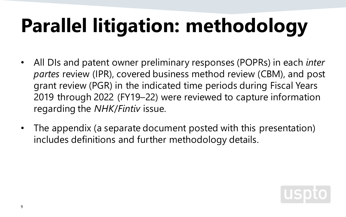# **Parallel litigation: methodology**

- All DIs and patent owner preliminary responses (POPRs) in each *inter partes* review (IPR), covered business method review (CBM), and post grant review (PGR) in the indicated time periods during Fiscal Years 2019 through 2022 (FY19–22) were reviewed to capture information regarding the *NHK*/*Fintiv* issue.
- The appendix (a separate document posted with this presentation) includes definitions and further methodology details.

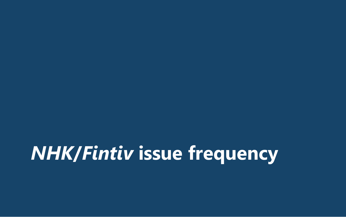### *NHK***/***Fintiv* **issue frequency**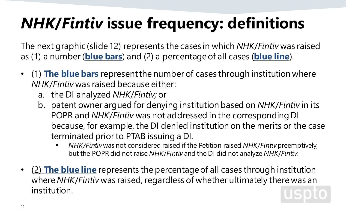#### *NHK***/***Fintiv* **issue frequency: definitions**

The next graphic (slide 12) represents the cases in which *NHK*/*Fintiv* was raised as (1) a number (**blue bars**) and (2) a percentage of all cases (**blue line**).

- (1) **The blue bars** represent the number of cases through institution where *NHK*/*Fintiv* was raised because either:
	- a. the DI analyzed *NHK*/*Fintiv;* or
	- b. patent owner argued for denying institution based on *NHK*/*Fintiv* in its POPR and *NHK*/*Fintiv* was not addressed in the corresponding DI because, for example, the DI denied institution on the merits or the case terminated prior to PTAB issuing a DI.
		- *NHK/Fintiv*was not considered raised if the Petition raised *NHK*/*Fintiv*preemptively, but the POPR did not raise *NHK*/*Fintiv* and the DI did not analyze *NHK*/*Fintiv*.
- (2) **The blue line** represents the percentage of all cases through institution where *NHK*/*Fintiv* was raised, regardless of whether ultimately there was an institution.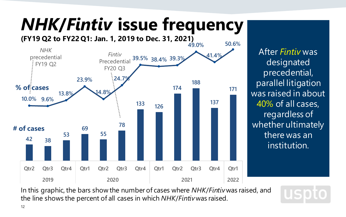### *NHK***/***Fintiv* **issue frequency**



After *Fintiv* was designated precedential, parallel litigation was raised in about 40% of all cases, regardless of whether ultimately there was an institution.

In this graphic, the bars show the number of cases where *NHK*/*Fintiv*was raised, and the line shows the percent of all cases in which *NHK*/*Fintiv*was raised.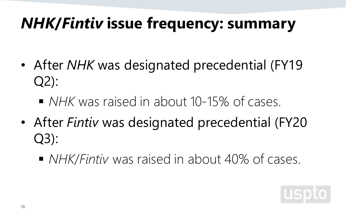#### *NHK***/***Fintiv* **issue frequency: summary**

- After *NHK* was designated precedential (FY19 Q2):
	- *NHK* was raised in about 10-15% of cases.
- After *Fintiv* was designated precedential (FY20 Q3):
	- *NHK/Fintiv* was raised in about 40% of cases.

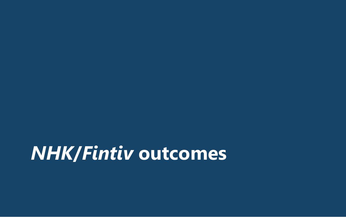#### *NHK***/***Fintiv* **outcomes**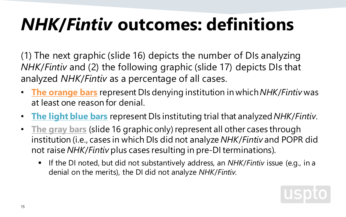#### *NHK***/***Fintiv* **outcomes: definitions**

(1) The next graphic (slide 16) depicts the number of DIs analyzing *NHK*/*Fintiv* and (2) the following graphic (slide 17) depicts DIs that analyzed *NHK*/*Fintiv* as a percentage of all cases.

- **The orange bars** represent DIs denying institution in which *NHK*/*Fintiv* was at least one reason for denial.
- **The light blue bars** represent DIs instituting trial that analyzed *NHK*/*Fintiv*.
- **The gray bars** (slide 16 graphic only) represent all other cases through institution (i.e., cases in which DIs did not analyze *NHK*/*Fintiv* and POPR did not raise *NHK*/*Fintiv* plus cases resulting in pre-DI terminations).
	- If the DI noted, but did not substantively address, an *NHK*/*Fintiv* issue (e.g., in a denial on the merits), the DI did not analyze *NHK*/*Fintiv*.

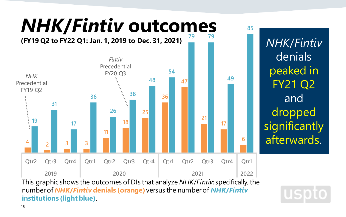

This graphic shows the outcomes of DIs that analyze *NHK*/*Fintiv*; specifically, the number of *NHK***/***Fintiv* **denials (orange)** versus the number of *NHK***/***Fintiv* **institutions (light blue)**.

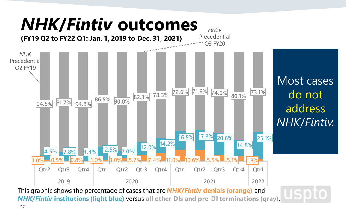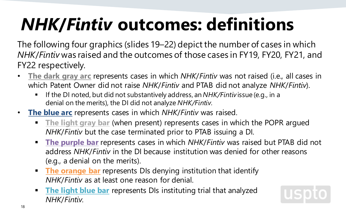### *NHK***/***Fintiv* **outcomes: definitions**

The following four graphics (slides 19–22) depict the number of cases in which *NHK*/*Fintiv* was raised and the outcomes of those cases in FY19, FY20, FY21, and FY22 respectively.

- **The dark gray arc** represents cases in which *NHK*/*Fintiv* was not raised (i.e., all cases in which Patent Owner did not raise *NHK*/*Fintiv* and PTAB did not analyze *NHK*/*Fintiv*).
	- If the DI noted, but did not substantively address, an *NHK/Fintiv* issue (e.g., in a denial on the merits), the DI did not analyze *NHK/Fintiv*.
- **The blue arc** represents cases in which *NHK*/*Fintiv* was raised.
	- **The light gray bar** (when present) represents cases in which the POPR argued *NHK*/*Fintiv* but the case terminated prior to PTAB issuing a DI.
	- **The purple bar** represents cases in which *NHK*/*Fintiv* was raised but PTAB did not address *NHK*/*Fintiv* in the DI because institution was denied for other reasons (e.g., a denial on the merits).
	- **The orange bar** represents DIs denying institution that identify *NHK*/*Fintiv* as at least one reason for denial.
	- **The light blue bar** represents DIs instituting trial that analyzed *NHK*/*Fintiv*.

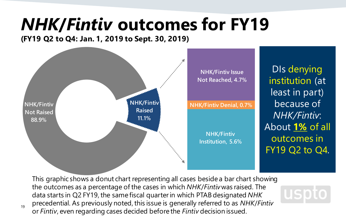#### *NHK***/***Fintiv* **outcomes for FY19**

**(FY19 Q2 to Q4: Jan. 1, 2019 to Sept. 30, 2019)**

19



DIs denying institution (at least in part) because of *NHK/Fintiv*: About **1%** of all outcomes in FY19 Q2 to Q4.

uspto

This graphic shows a donut chart representing all cases beside a bar chart showing the outcomes as a percentage of the cases in which *NHK*/*Fintiv*was raised. The data starts in Q2 FY19, the same fiscal quarter in which PTAB designated *NHK* precedential. As previously noted, this issue is generally referred to as *NHK*/*Fintiv* or *Fintiv*, even regarding cases decided before the *Fintiv* decision issued.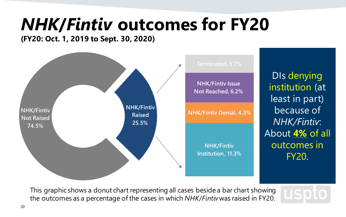#### *NHK***/***Fintiv* **outcomes for FY20**

**(FY20: Oct. 1, 2019 to Sept. 30, 2020)**



DIs denying institution (at least in part) because of *NHK/Fintiv*: About **4%** of all outcomes in FY20.

USDI

This graphic shows a donut chart representing all cases beside a bar chart showing the outcomes as a percentage of the cases in which *NHK*/*Fintiv*was raised in FY20.

20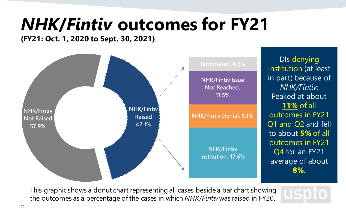#### *NHK***/***Fintiv* **outcomes for FY21**

**(FY21: Oct. 1, 2020 to Sept. 30, 2021)**



This graphic shows a donut chart representing all cases beside a bar chart showing the outcomes as a percentage of the cases in which *NHK*/*Fintiv*was raised in FY20.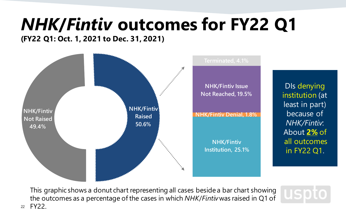#### *NHK***/***Fintiv* **outcomes for FY22 Q1**

**(FY22 Q1: Oct. 1, 2021 to Dec. 31, 2021)**

22



DIs denying institution (at least in part) because of *NHK/Fintiv*: About **2%** of all outcomes in FY22 Q1.

uspto

This graphic shows a donut chart representing all cases beside a bar chart showing the outcomes as a percentage of the cases in which *NHK*/*Fintiv*was raised in Q1 of FY22.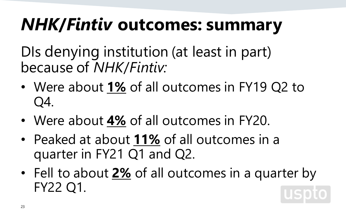#### *NHK***/***Fintiv* **outcomes: summary**

DIs denying institution (at least in part) because of *NHK*/*Fintiv:*

- Were about **1%** of all outcomes in FY19 Q2 to Q4.
- Were about **4%** of all outcomes in FY20.
- Peaked at about **11%** of all outcomes in a quarter in FY21 Q1 and Q2.
- Fell to about **2%** of all outcomes in a quarter by FY22 Q1. **USD**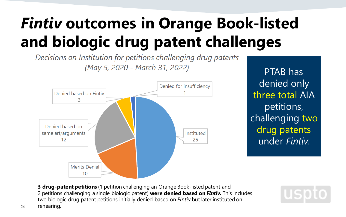#### *Fintiv* **outcomes in Orange Book-listed and biologic drug patent challenges**

Decisions on Institution for petitions challenging drug patents (May 5, 2020 - March 31, 2022)



PTAB has denied only three total AIA petitions, challenging two drug patents under *Fintiv.*

USDIO

**3 drug-patent petitions** (1 petition challenging an Orange Book-listed patent and 2 petitions challenging a single biologic patent) **were denied based on** *Fintiv.* This includes two biologic drug patent petitions initially denied based on *Fintiv* but later instituted on

24 rehearing.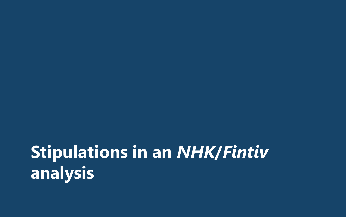#### **Stipulations in an** *NHK***/***Fintiv* **analysis**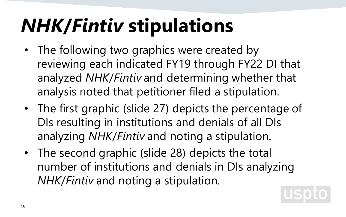### *NHK***/***Fintiv* **stipulations**

- The following two graphics were created by reviewing each indicated FY19 through FY22 DI that analyzed *NHK*/*Fintiv* and determining whether that analysis noted that petitioner filed a stipulation.
- The first graphic (slide 27) depicts the percentage of DIs resulting in institutions and denials of all DIs analyzing *NHK*/*Fintiv* and noting a stipulation.
- The second graphic (slide 28) depicts the total number of institutions and denials in DIs analyzing *NHK*/*Fintiv* and noting a stipulation.

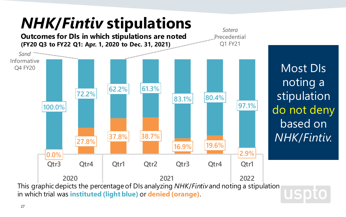

27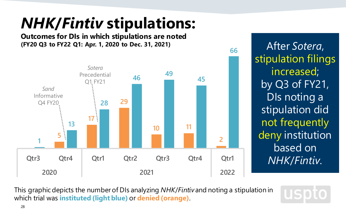#### *NHK***/***Fintiv* **stipulations:**

**Outcomes for DIs in which stipulations are noted (FY20 Q3 to FY22 Q1: Apr. 1, 2020 to Dec. 31, 2021)**



After *Sotera*, stipulation filings increased; by Q3 of FY21, DIs noting a stipulation did not frequently deny institution based on *NHK*/*Fintiv*.

**66**

This graphic depicts the number of DIs analyzing *NHK*/*Fintiv* and noting a stipulation in which trial was **instituted (light blue)** or **denied (orange)**.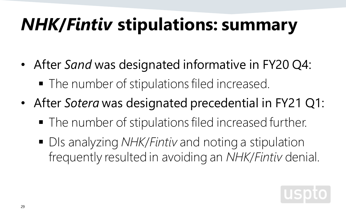### *NHK***/***Fintiv* **stipulations: summary**

- After *Sand* was designated informative in FY20 Q4: • The number of stipulations filed increased.
- After *Sotera* was designated precedential in FY21 Q1:
	- The number of stipulations filed increased further.
	- DIs analyzing *NHK/Fintiv* and noting a stipulation frequently resulted in avoiding an *NHK*/*Fintiv* denial.

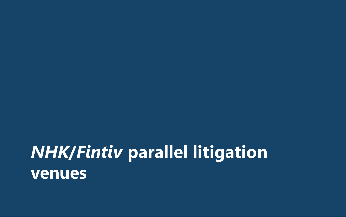#### *NHK***/***Fintiv* **parallel litigation venues**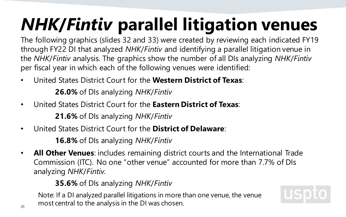### *NHK***/***Fintiv* **parallel litigation venues**

The following graphics (slides 32 and 33) were created by reviewing each indicated FY19 through FY22 DI that analyzed *NHK*/*Fintiv* and identifying a parallel litigation venue in the *NHK*/*Fintiv* analysis. The graphics show the number of all DIs analyzing *NHK*/*Fintiv* per fiscal year in which each of the following venues were identified:

• United States District Court for the **Western District of Texas**:

**26.0%** of DIs analyzing *NHK*/*Fintiv*

• United States District Court for the **Eastern District of Texas**:

**21.6%** of DIs analyzing *NHK*/*Fintiv*

• United States District Court for the **District of Delaware**:

**16.8%** of DIs analyzing *NHK*/*Fintiv*

• **All Other Venues**: includes remaining district courts and the International Trade Commission (ITC). No one "other venue" accounted for more than 7.7% of DIs analyzing *NHK*/*Fintiv*.

**35.6%** of DIs analyzing *NHK*/*Fintiv*

Note: If a DI analyzed parallel litigations in more than one venue, the venue most central to the analysis in the DI was chosen.

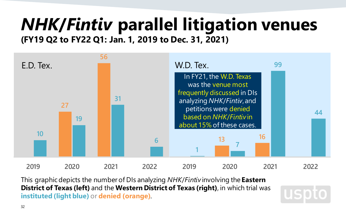#### *NHK***/***Fintiv* **parallel litigation venues (FY19 Q2 to FY22 Q1: Jan. 1, 2019 to Dec. 31, 2021)**



This graphic depicts the number of DIs analyzing *NHK*/*Fintiv* involving the **Eastern District of Texas (left)** and the **Western District of Texas (right)**, in which trial was **instituted (light blue)** or **denied (orange)**.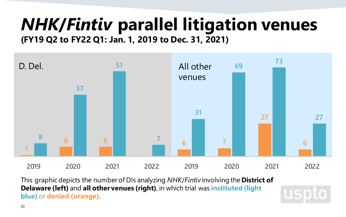#### *NHK***/***Fintiv* **parallel litigation venues (FY19 Q2 to FY22 Q1: Jan. 1, 2019 to Dec. 31, 2021)**



This graphic depicts the number of DIs analyzing *NHK*/*Fintiv* involving the **District of Delaware (left)** and **all other venues (right)**, in which trial was **instituted (light blue)** or **denied (orange)**.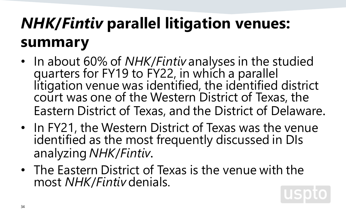#### *NHK***/***Fintiv* **parallel litigation venues: summary**

- In about 60% of *NHK*/*Fintiv* analyses in the studied quarters for FY19 to FY22, in which a parallel litigation venue was identified, the identified district court was one of the Western District of Texas, the Eastern District of Texas, and the District of Delaware.
- In FY21, the Western District of Texas was the venue identified as the most frequently discussed in DIs analyzing *NHK*/*Fintiv*.
- The Eastern District of Texas is the venue with the most *NHK*/*Fintiv* denials.

34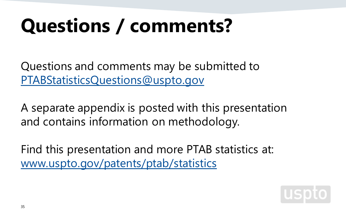### **Questions / comments?**

Questions and comments may be submitted to [PTABStatisticsQuestions@uspto.gov](mailto:PTABStatisticsQuestions@uspto.gov)

A separate appendix is posted with this presentation and contains information on methodology.

Find this presentation and more PTAB statistics at: [www.uspto.gov/patents/ptab/statistics](http://www.uspto.gov/patents/ptab/statistics)